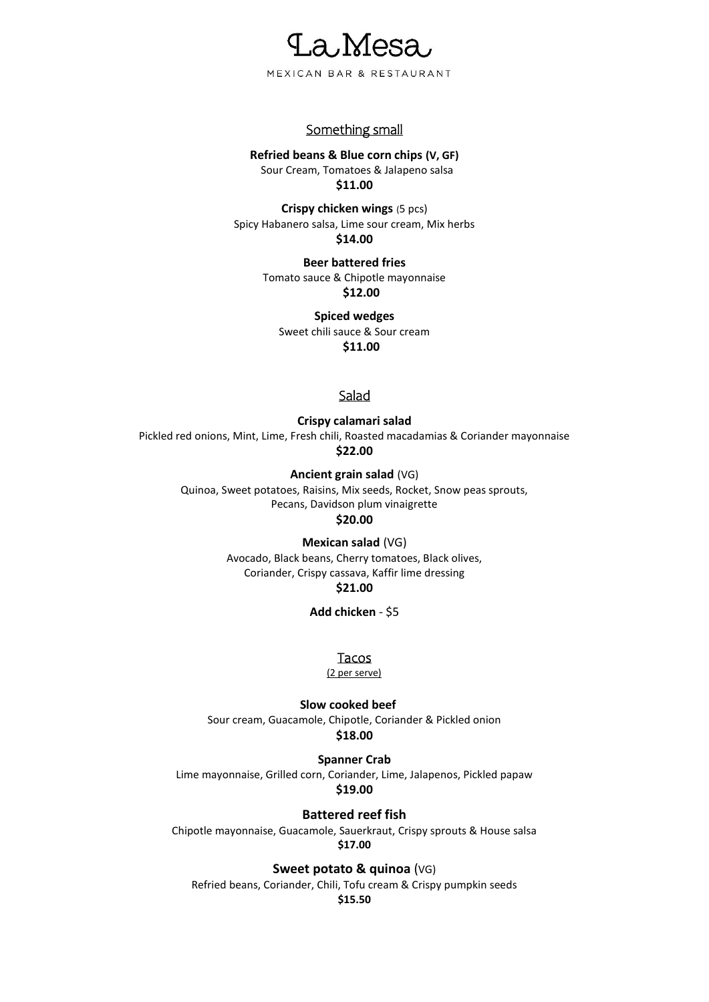

## Something small

#### **Refried beans & Blue corn chips (V, GF)**

Sour Cream, Tomatoes & Jalapeno salsa **\$11.00**

**Crispy chicken wings** (5 pcs) Spicy Habanero salsa, Lime sour cream, Mix herbs **\$14.00**

> **Beer battered fries** Tomato sauce & Chipotle mayonnaise **\$12.00**

**Spiced wedges** Sweet chili sauce & Sour cream **\$11.00**

## **Salad**

**Crispy calamari salad** Pickled red onions, Mint, Lime, Fresh chili, Roasted macadamias & Coriander mayonnaise **\$22.00**

> **Ancient grain salad** (VG) Quinoa, Sweet potatoes, Raisins, Mix seeds, Rocket, Snow peas sprouts, Pecans, Davidson plum vinaigrette

### **\$20.00**

**Mexican salad** (VG)

Avocado, Black beans, Cherry tomatoes, Black olives, Coriander, Crispy cassava, Kaffir lime dressing **\$21.00**

**Add chicken** - \$5

Tacos

(2 per serve)

**Slow cooked beef** Sour cream, Guacamole, Chipotle, Coriander & Pickled onion **\$18.00**

**Spanner Crab** Lime mayonnaise, Grilled corn, Coriander, Lime, Jalapenos, Pickled papaw

**\$19.00**

**Battered reef fish**

Chipotle mayonnaise, Guacamole, Sauerkraut, Crispy sprouts & House salsa **\$17.00**

**Sweet potato & quinoa** (VG)

Refried beans, Coriander, Chili, Tofu cream & Crispy pumpkin seeds **\$15.50**